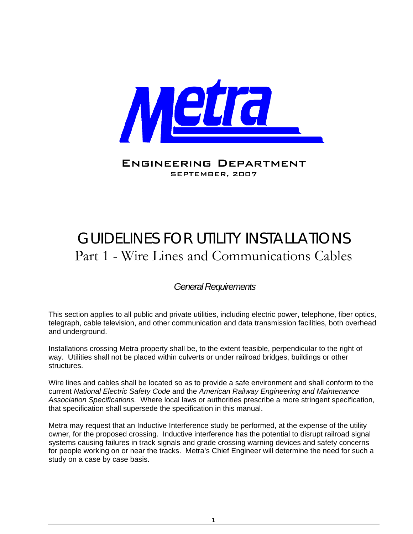

Engineering Department SEPTEMBER, 2007

# GUIDELINES FOR UTILITY INSTALLATIONS Part 1 - Wire Lines and Communications Cables

#### *General Requirements*

This section applies to all public and private utilities, including electric power, telephone, fiber optics, telegraph, cable television, and other communication and data transmission facilities, both overhead and underground.

Installations crossing Metra property shall be, to the extent feasible, perpendicular to the right of way. Utilities shall not be placed within culverts or under railroad bridges, buildings or other structures.

Wire lines and cables shall be located so as to provide a safe environment and shall conform to the current *National Electric Safety Code* and the *American Railway Engineering and Maintenance Association Specifications.* Where local laws or authorities prescribe a more stringent specification, that specification shall supersede the specification in this manual.

Metra may request that an Inductive Interference study be performed, at the expense of the utility owner, for the proposed crossing. Inductive interference has the potential to disrupt railroad signal systems causing failures in track signals and grade crossing warning devices and safety concerns for people working on or near the tracks. Metra's Chief Engineer will determine the need for such a study on a case by case basis.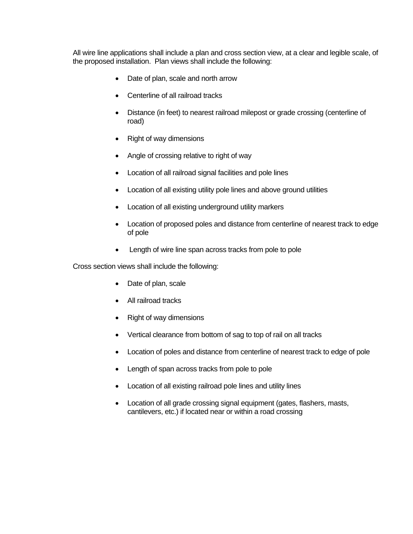All wire line applications shall include a plan and cross section view, at a clear and legible scale, of the proposed installation. Plan views shall include the following:

- Date of plan, scale and north arrow
- Centerline of all railroad tracks
- Distance (in feet) to nearest railroad milepost or grade crossing (centerline of road)
- Right of way dimensions
- Angle of crossing relative to right of way
- Location of all railroad signal facilities and pole lines
- Location of all existing utility pole lines and above ground utilities
- Location of all existing underground utility markers
- Location of proposed poles and distance from centerline of nearest track to edge of pole
- Length of wire line span across tracks from pole to pole

Cross section views shall include the following:

- Date of plan, scale
- All railroad tracks
- Right of way dimensions
- Vertical clearance from bottom of sag to top of rail on all tracks
- Location of poles and distance from centerline of nearest track to edge of pole
- Length of span across tracks from pole to pole
- Location of all existing railroad pole lines and utility lines
- Location of all grade crossing signal equipment (gates, flashers, masts, cantilevers, etc.) if located near or within a road crossing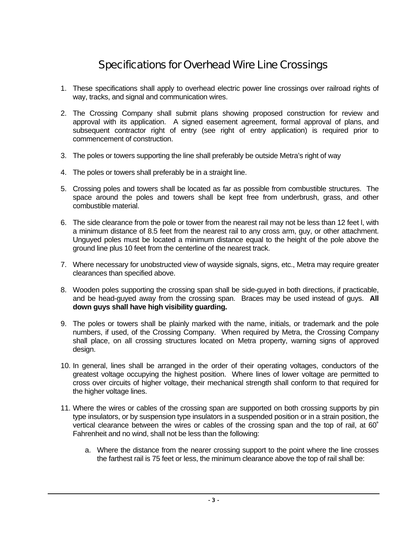## Specifications for Overhead Wire Line Crossings

- 1. These specifications shall apply to overhead electric power line crossings over railroad rights of way, tracks, and signal and communication wires.
- 2. The Crossing Company shall submit plans showing proposed construction for review and approval with its application. A signed easement agreement, formal approval of plans, and subsequent contractor right of entry (see right of entry application) is required prior to commencement of construction.
- 3. The poles or towers supporting the line shall preferably be outside Metra's right of way
- 4. The poles or towers shall preferably be in a straight line.
- 5. Crossing poles and towers shall be located as far as possible from combustible structures. The space around the poles and towers shall be kept free from underbrush, grass, and other combustible material.
- 6. The side clearance from the pole or tower from the nearest rail may not be less than 12 feet l, with a minimum distance of 8.5 feet from the nearest rail to any cross arm, guy, or other attachment. Unguyed poles must be located a minimum distance equal to the height of the pole above the ground line plus 10 feet from the centerline of the nearest track.
- 7. Where necessary for unobstructed view of wayside signals, signs, etc., Metra may require greater clearances than specified above.
- 8. Wooden poles supporting the crossing span shall be side-guyed in both directions, if practicable, and be head-guyed away from the crossing span. Braces may be used instead of guys. **All down guys shall have high visibility guarding.**
- 9. The poles or towers shall be plainly marked with the name, initials, or trademark and the pole numbers, if used, of the Crossing Company. When required by Metra, the Crossing Company shall place, on all crossing structures located on Metra property, warning signs of approved design.
- 10. In general, lines shall be arranged in the order of their operating voltages, conductors of the greatest voltage occupying the highest position. Where lines of lower voltage are permitted to cross over circuits of higher voltage, their mechanical strength shall conform to that required for the higher voltage lines.
- 11. Where the wires or cables of the crossing span are supported on both crossing supports by pin type insulators, or by suspension type insulators in a suspended position or in a strain position, the vertical clearance between the wires or cables of the crossing span and the top of rail, at 60˚ Fahrenheit and no wind, shall not be less than the following:
	- a. Where the distance from the nearer crossing support to the point where the line crosses the farthest rail is 75 feet or less, the minimum clearance above the top of rail shall be: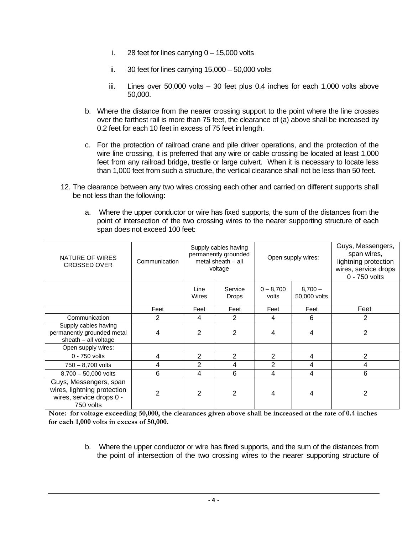- i. 28 feet for lines carrying  $0 15,000$  volts
- ii. 30 feet for lines carrying 15,000 50,000 volts
- iii. Lines over 50,000 volts 30 feet plus 0.4 inches for each 1,000 volts above 50,000.
- b. Where the distance from the nearer crossing support to the point where the line crosses over the farthest rail is more than 75 feet, the clearance of (a) above shall be increased by 0.2 feet for each 10 feet in excess of 75 feet in length.
- c. For the protection of railroad crane and pile driver operations, and the protection of the wire line crossing, it is preferred that any wire or cable crossing be located at least 1,000 feet from any railroad bridge, trestle or large culvert. When it is necessary to locate less than 1,000 feet from such a structure, the vertical clearance shall not be less than 50 feet.
- 12. The clearance between any two wires crossing each other and carried on different supports shall be not less than the following:
	- a. Where the upper conductor or wire has fixed supports, the sum of the distances from the point of intersection of the two crossing wires to the nearer supporting structure of each span does not exceed 100 feet:

| NATURE OF WIRES<br><b>CROSSED OVER</b>                                                         | Communication | Supply cables having<br>permanently grounded<br>metal sheath $-$ all<br>voltage |                         | Open supply wires:   |                           | Guys, Messengers,<br>span wires,<br>lightning protection<br>wires, service drops<br>0 - 750 volts |
|------------------------------------------------------------------------------------------------|---------------|---------------------------------------------------------------------------------|-------------------------|----------------------|---------------------------|---------------------------------------------------------------------------------------------------|
|                                                                                                |               | Line<br>Wires                                                                   | Service<br><b>Drops</b> | $0 - 8,700$<br>volts | $8,700 -$<br>50,000 volts |                                                                                                   |
|                                                                                                | Feet          | Feet                                                                            | Feet                    | Feet                 | Feet                      | Feet                                                                                              |
| Communication                                                                                  | 2             | 4                                                                               | 2                       | 4                    | 6                         | $\overline{2}$                                                                                    |
| Supply cables having<br>permanently grounded metal<br>sheath - all voltage                     | 4             | $\mathcal{P}$                                                                   | 2                       | 4                    | 4                         | 2                                                                                                 |
| Open supply wires:                                                                             |               |                                                                                 |                         |                      |                           |                                                                                                   |
| 0 - 750 volts                                                                                  | 4             | 2                                                                               | $\overline{2}$          | $\overline{2}$       | 4                         | 2                                                                                                 |
| $750 - 8,700$ volts                                                                            | 4             | $\overline{2}$                                                                  | 4                       | 2                    | 4                         | 4                                                                                                 |
| 8,700 - 50,000 volts                                                                           | 6             | 4                                                                               | 6                       | 4                    | 4                         | 6                                                                                                 |
| Guys, Messengers, span<br>wires, lightning protection<br>wires, service drops 0 -<br>750 volts | 2             | 2                                                                               | 2                       | 4                    | 4                         | 2                                                                                                 |

**Note: for voltage exceeding 50,000, the clearances given above shall be increased at the rate of 0.4 inches for each 1,000 volts in excess of 50,000.** 

> b. Where the upper conductor or wire has fixed supports, and the sum of the distances from the point of intersection of the two crossing wires to the nearer supporting structure of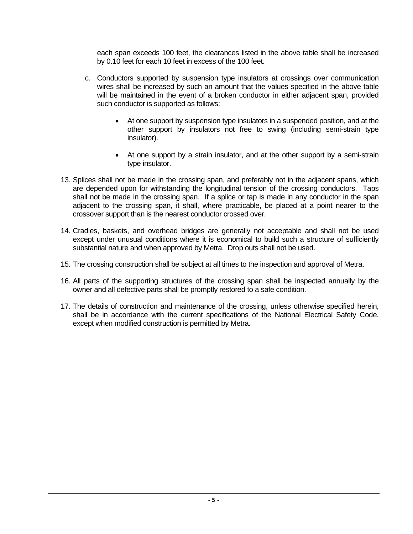each span exceeds 100 feet, the clearances listed in the above table shall be increased by 0.10 feet for each 10 feet in excess of the 100 feet.

- c. Conductors supported by suspension type insulators at crossings over communication wires shall be increased by such an amount that the values specified in the above table will be maintained in the event of a broken conductor in either adjacent span, provided such conductor is supported as follows:
	- At one support by suspension type insulators in a suspended position, and at the other support by insulators not free to swing (including semi-strain type insulator).
	- At one support by a strain insulator, and at the other support by a semi-strain type insulator.
- 13. Splices shall not be made in the crossing span, and preferably not in the adjacent spans, which are depended upon for withstanding the longitudinal tension of the crossing conductors. Taps shall not be made in the crossing span. If a splice or tap is made in any conductor in the span adjacent to the crossing span, it shall, where practicable, be placed at a point nearer to the crossover support than is the nearest conductor crossed over.
- 14. Cradles, baskets, and overhead bridges are generally not acceptable and shall not be used except under unusual conditions where it is economical to build such a structure of sufficiently substantial nature and when approved by Metra. Drop outs shall not be used.
- 15. The crossing construction shall be subject at all times to the inspection and approval of Metra.
- 16. All parts of the supporting structures of the crossing span shall be inspected annually by the owner and all defective parts shall be promptly restored to a safe condition.
- 17. The details of construction and maintenance of the crossing, unless otherwise specified herein, shall be in accordance with the current specifications of the National Electrical Safety Code, except when modified construction is permitted by Metra.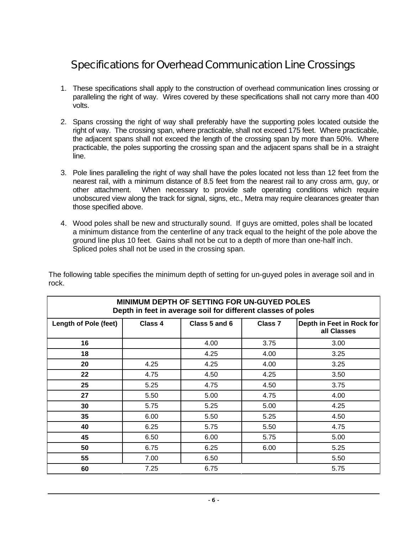### Specifications for Overhead Communication Line Crossings

- 1. These specifications shall apply to the construction of overhead communication lines crossing or paralleling the right of way. Wires covered by these specifications shall not carry more than 400 volts.
- 2. Spans crossing the right of way shall preferably have the supporting poles located outside the right of way. The crossing span, where practicable, shall not exceed 175 feet. Where practicable, the adjacent spans shall not exceed the length of the crossing span by more than 50%. Where practicable, the poles supporting the crossing span and the adjacent spans shall be in a straight line.
- 3. Pole lines paralleling the right of way shall have the poles located not less than 12 feet from the nearest rail, with a minimum distance of 8.5 feet from the nearest rail to any cross arm, guy, or other attachment. When necessary to provide safe operating conditions which require unobscured view along the track for signal, signs, etc., Metra may require clearances greater than those specified above.
- 4. Wood poles shall be new and structurally sound. If guys are omitted, poles shall be located a minimum distance from the centerline of any track equal to the height of the pole above the ground line plus 10 feet. Gains shall not be cut to a depth of more than one-half inch. Spliced poles shall not be used in the crossing span.

| The following table specifies the minimum depth of setting for un-guyed poles in average soil and in |  |
|------------------------------------------------------------------------------------------------------|--|
| rock.                                                                                                |  |

| <b>MINIMUM DEPTH OF SETTING FOR UN-GUYED POLES</b><br>Depth in feet in average soil for different classes of poles |         |               |                |                                          |
|--------------------------------------------------------------------------------------------------------------------|---------|---------------|----------------|------------------------------------------|
| <b>Length of Pole (feet)</b>                                                                                       | Class 4 | Class 5 and 6 | <b>Class 7</b> | Depth in Feet in Rock for<br>all Classes |
| 16                                                                                                                 |         | 4.00          | 3.75           | 3.00                                     |
| 18                                                                                                                 |         | 4.25          | 4.00           | 3.25                                     |
| 20                                                                                                                 | 4.25    | 4.25          | 4.00           | 3.25                                     |
| 22                                                                                                                 | 4.75    | 4.50          | 4.25           | 3.50                                     |
| 25                                                                                                                 | 5.25    | 4.75          | 4.50           | 3.75                                     |
| 27                                                                                                                 | 5.50    | 5.00          | 4.75           | 4.00                                     |
| 30                                                                                                                 | 5.75    | 5.25          | 5.00           | 4.25                                     |
| 35                                                                                                                 | 6.00    | 5.50          | 5.25           | 4.50                                     |
| 40                                                                                                                 | 6.25    | 5.75          | 5.50           | 4.75                                     |
| 45                                                                                                                 | 6.50    | 6.00          | 5.75           | 5.00                                     |
| 50                                                                                                                 | 6.75    | 6.25          | 6.00           | 5.25                                     |
| 55                                                                                                                 | 7.00    | 6.50          |                | 5.50                                     |
| 60                                                                                                                 | 7.25    | 6.75          |                | 5.75                                     |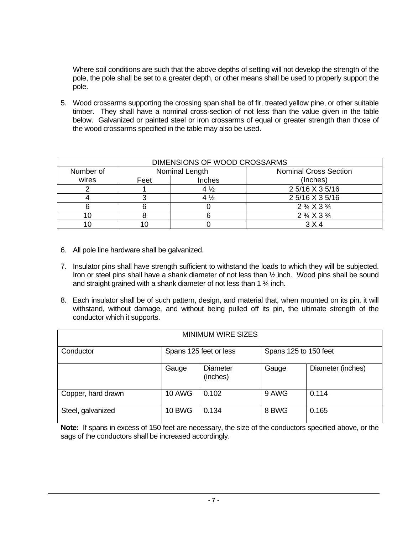Where soil conditions are such that the above depths of setting will not develop the strength of the pole, the pole shall be set to a greater depth, or other means shall be used to properly support the pole.

5. Wood crossarms supporting the crossing span shall be of fir, treated yellow pine, or other suitable timber. They shall have a nominal cross-section of not less than the value given in the table below. Galvanized or painted steel or iron crossarms of equal or greater strength than those of the wood crossarms specified in the table may also be used.

| DIMENSIONS OF WOOD CROSSARMS |                |                |                                  |  |
|------------------------------|----------------|----------------|----------------------------------|--|
| Number of                    | Nominal Length |                | <b>Nominal Cross Section</b>     |  |
| wires                        | Feet           | Inches         | (Inches)                         |  |
|                              |                | $4\frac{1}{2}$ | 2 5/16 X 3 5/16                  |  |
|                              |                | $4\frac{1}{2}$ | 2 5/16 X 3 5/16                  |  |
|                              |                |                | $2\frac{3}{4}$ X 3 $\frac{3}{4}$ |  |
|                              |                |                | $2\frac{3}{4}$ X 3 $\frac{3}{4}$ |  |
|                              |                |                | 3 X 4                            |  |

- 6. All pole line hardware shall be galvanized.
- 7. Insulator pins shall have strength sufficient to withstand the loads to which they will be subjected. Iron or steel pins shall have a shank diameter of not less than  $\frac{1}{2}$  inch. Wood pins shall be sound and straight grained with a shank diameter of not less than 1 ¾ inch.
- 8. Each insulator shall be of such pattern, design, and material that, when mounted on its pin, it will withstand, without damage, and without being pulled off its pin, the ultimate strength of the conductor which it supports.

| <b>MINIMUM WIRE SIZES</b> |                        |                      |                       |                   |
|---------------------------|------------------------|----------------------|-----------------------|-------------------|
| Conductor                 | Spans 125 feet or less |                      | Spans 125 to 150 feet |                   |
|                           | Gauge                  | Diameter<br>(inches) | Gauge                 | Diameter (inches) |
| Copper, hard drawn        | <b>10 AWG</b>          | 0.102                | 9 AWG                 | 0.114             |
| Steel, galvanized         | <b>10 BWG</b>          | 0.134                | 8 BWG                 | 0.165             |

**Note:** If spans in excess of 150 feet are necessary, the size of the conductors specified above, or the sags of the conductors shall be increased accordingly.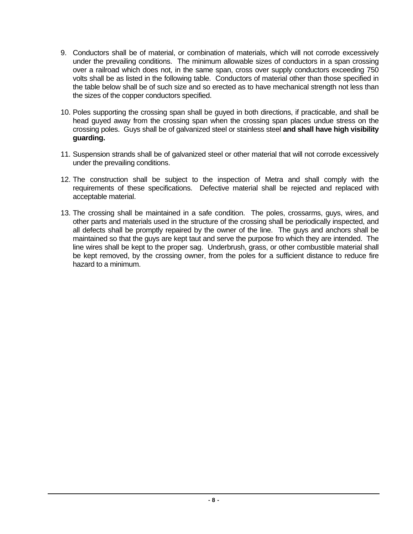- 9. Conductors shall be of material, or combination of materials, which will not corrode excessively under the prevailing conditions. The minimum allowable sizes of conductors in a span crossing over a railroad which does not, in the same span, cross over supply conductors exceeding 750 volts shall be as listed in the following table. Conductors of material other than those specified in the table below shall be of such size and so erected as to have mechanical strength not less than the sizes of the copper conductors specified.
- 10. Poles supporting the crossing span shall be guyed in both directions, if practicable, and shall be head guyed away from the crossing span when the crossing span places undue stress on the crossing poles. Guys shall be of galvanized steel or stainless steel **and shall have high visibility guarding.**
- 11. Suspension strands shall be of galvanized steel or other material that will not corrode excessively under the prevailing conditions.
- 12. The construction shall be subject to the inspection of Metra and shall comply with the requirements of these specifications. Defective material shall be rejected and replaced with acceptable material.
- 13. The crossing shall be maintained in a safe condition. The poles, crossarms, guys, wires, and other parts and materials used in the structure of the crossing shall be periodically inspected, and all defects shall be promptly repaired by the owner of the line. The guys and anchors shall be maintained so that the guys are kept taut and serve the purpose fro which they are intended. The line wires shall be kept to the proper sag. Underbrush, grass, or other combustible material shall be kept removed, by the crossing owner, from the poles for a sufficient distance to reduce fire hazard to a minimum.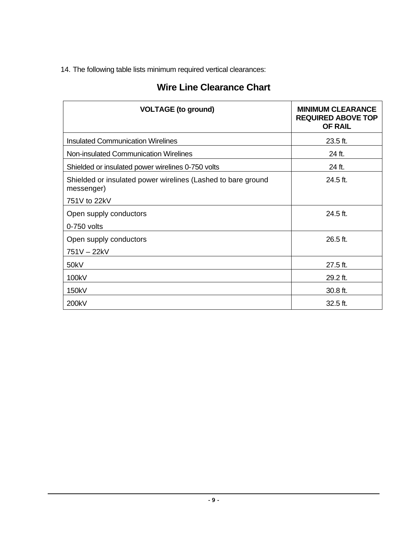14. The following table lists minimum required vertical clearances:

#### **Wire Line Clearance Chart**

| <b>VOLTAGE (to ground)</b>                                                 | <b>MINIMUM CLEARANCE</b><br><b>REQUIRED ABOVE TOP</b><br><b>OF RAIL</b> |
|----------------------------------------------------------------------------|-------------------------------------------------------------------------|
| <b>Insulated Communication Wirelines</b>                                   | $23.5$ ft.                                                              |
| Non-insulated Communication Wirelines                                      | 24 ft.                                                                  |
| Shielded or insulated power wirelines 0-750 volts                          | 24 ft.                                                                  |
| Shielded or insulated power wirelines (Lashed to bare ground<br>messenger) | $24.5$ ft.                                                              |
| 751V to 22kV                                                               |                                                                         |
| Open supply conductors                                                     | $24.5$ ft.                                                              |
| 0-750 volts                                                                |                                                                         |
| Open supply conductors                                                     | 26.5 ft.                                                                |
| 751V-22kV                                                                  |                                                                         |
| 50kV                                                                       | $27.5$ ft.                                                              |
| 100kV                                                                      | 29.2 ft.                                                                |
| 150kV                                                                      | 30.8 ft.                                                                |
| 200kV                                                                      | 32.5 ft.                                                                |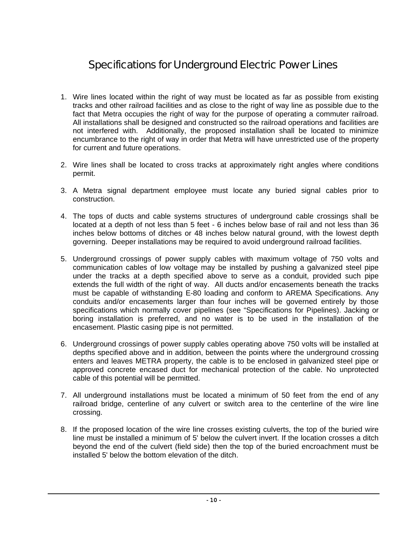### Specifications for Underground Electric Power Lines

- 1. Wire lines located within the right of way must be located as far as possible from existing tracks and other railroad facilities and as close to the right of way line as possible due to the fact that Metra occupies the right of way for the purpose of operating a commuter railroad. All installations shall be designed and constructed so the railroad operations and facilities are not interfered with. Additionally, the proposed installation shall be located to minimize encumbrance to the right of way in order that Metra will have unrestricted use of the property for current and future operations.
- 2. Wire lines shall be located to cross tracks at approximately right angles where conditions permit.
- 3. A Metra signal department employee must locate any buried signal cables prior to construction.
- 4. The tops of ducts and cable systems structures of underground cable crossings shall be located at a depth of not less than 5 feet - 6 inches below base of rail and not less than 36 inches below bottoms of ditches or 48 inches below natural ground, with the lowest depth governing. Deeper installations may be required to avoid underground railroad facilities.
- 5. Underground crossings of power supply cables with maximum voltage of 750 volts and communication cables of low voltage may be installed by pushing a galvanized steel pipe under the tracks at a depth specified above to serve as a conduit, provided such pipe extends the full width of the right of way. All ducts and/or encasements beneath the tracks must be capable of withstanding E-80 loading and conform to AREMA Specifications. Any conduits and/or encasements larger than four inches will be governed entirely by those specifications which normally cover pipelines (see "Specifications for Pipelines). Jacking or boring installation is preferred, and no water is to be used in the installation of the encasement. Plastic casing pipe is not permitted.
- 6. Underground crossings of power supply cables operating above 750 volts will be installed at depths specified above and in addition, between the points where the underground crossing enters and leaves METRA property, the cable is to be enclosed in galvanized steel pipe or approved concrete encased duct for mechanical protection of the cable. No unprotected cable of this potential will be permitted.
- 7. All underground installations must be located a minimum of 50 feet from the end of any railroad bridge, centerline of any culvert or switch area to the centerline of the wire line crossing.
- 8. If the proposed location of the wire line crosses existing culverts, the top of the buried wire line must be installed a minimum of 5' below the culvert invert. If the location crosses a ditch beyond the end of the culvert (field side) then the top of the buried encroachment must be installed 5' below the bottom elevation of the ditch.